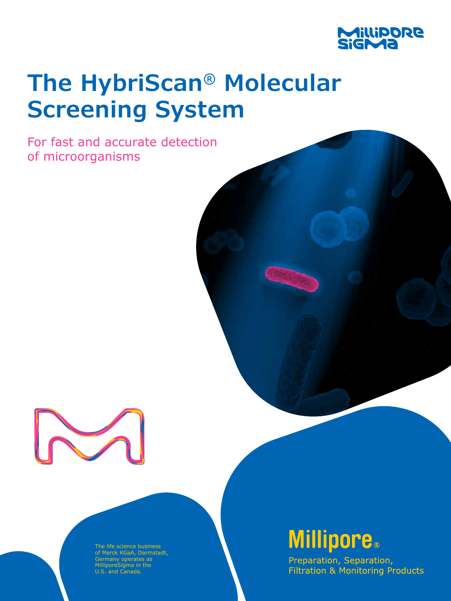

# **The HybriScan® Molecular Screening System**

For fast and accurate detection of microorganisms



The life science business of Merck KGaA, Darmstadt, Germany operates as MilliporeSigma in the U.S. and Canada.

## **Millipore.**

Preparation, Separation, **Filtration & Monitoring Products**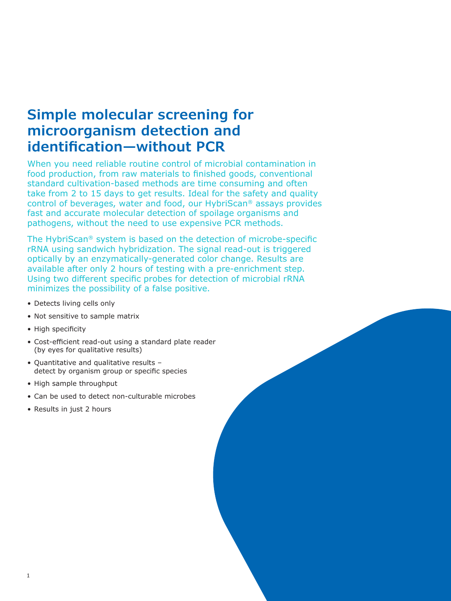#### **Simple molecular screening for microorganism detection and identification—without PCR**

When you need reliable routine control of microbial contamination in food production, from raw materials to finished goods, conventional standard cultivation-based methods are time consuming and often take from 2 to 15 days to get results. Ideal for the safety and quality control of beverages, water and food, our HybriScan® assays provides fast and accurate molecular detection of spoilage organisms and pathogens, without the need to use expensive PCR methods.

The HybriScan® system is based on the detection of microbe-specific rRNA using sandwich hybridization. The signal read-out is triggered optically by an enzymatically-generated color change. Results are available after only 2 hours of testing with a pre-enrichment step. Using two different specific probes for detection of microbial rRNA minimizes the possibility of a false positive.

- Detects living cells only
- Not sensitive to sample matrix
- High specificity
- Cost-efficient read-out using a standard plate reader (by eyes for qualitative results)
- Quantitative and qualitative results detect by organism group or specific species
- High sample throughput
- Can be used to detect non-culturable microbes
- Results in just 2 hours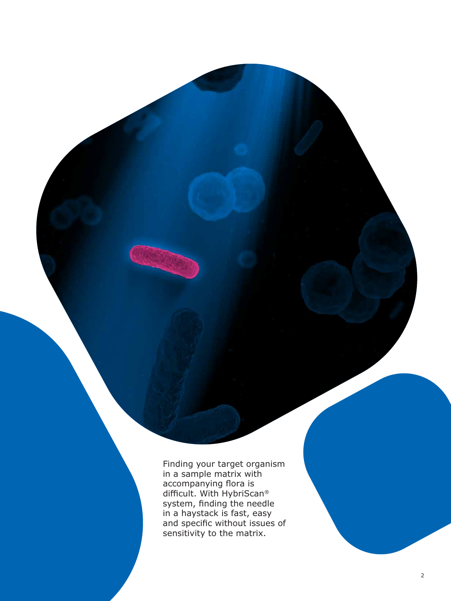Finding your target organism in a sample matrix with accompanying flora is difficult. With HybriScan ® system, finding the needle in a haystack is fast, easy and specific without issues of sensitivity to the matrix.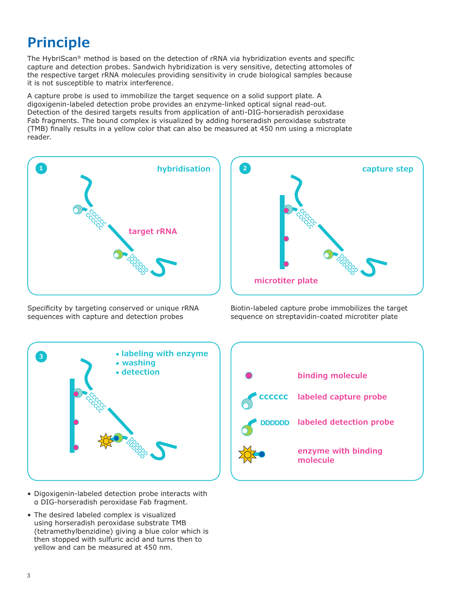## **Principle**

The HybriScan® method is based on the detection of rRNA via hybridization events and specific capture and detection probes. Sandwich hybridization is very sensitive, detecting attomoles of the respective target rRNA molecules providing sensitivity in crude biological samples because it is not susceptible to matrix interference.

A capture probe is used to immobilize the target sequence on a solid support plate. A digoxigenin-labeled detection probe provides an enzyme-linked optical signal read-out. Detection of the desired targets results from application of anti-DIG-horseradish peroxidase Fab fragments. The bound complex is visualized by adding horseradish peroxidase substrate (TMB) finally results in a yellow color that can also be measured at 450 nm using a microplate reader.



Specificity by targeting conserved or unique rRNA sequences with capture and detection probes



Biotin-labeled capture probe immobilizes the target sequence on streptavidin-coated microtiter plate



- Digoxigenin-labeled detection probe interacts with α DIG-horseradish peroxidase Fab fragment.
- The desired labeled complex is visualized using horseradish peroxidase substrate TMB (tetramethylbenzidine) giving a blue color which is then stopped with sulfuric acid and turns then to yellow and can be measured at 450 nm.

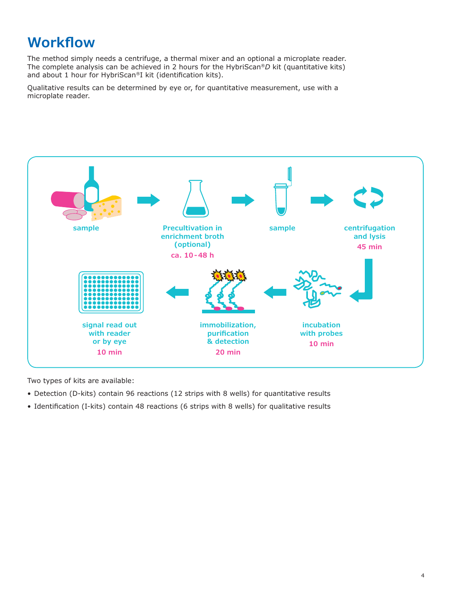### **Workflow**

The method simply needs a centrifuge, a thermal mixer and an optional a microplate reader. The complete analysis can be achieved in 2 hours for the HybriScan®*D* kit (quantitative kits) and about 1 hour for HybriScan®I kit (identification kits).

Qualitative results can be determined by eye or, for quantitative measurement, use with a microplate reader.



Two types of kits are available:

- Detection (D-kits) contain 96 reactions (12 strips with 8 wells) for quantitative results
- Identification (I-kits) contain 48 reactions (6 strips with 8 wells) for qualitative results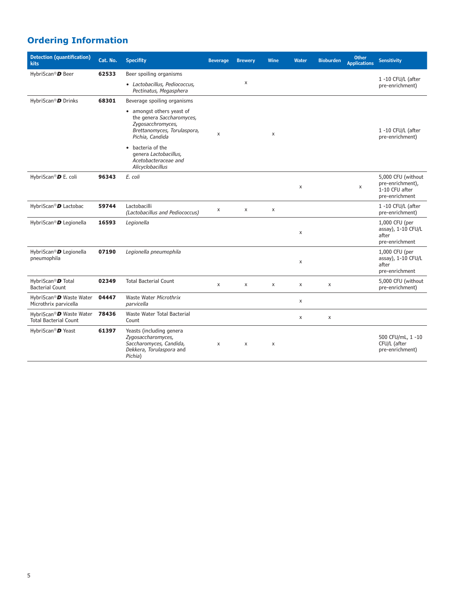#### **Ordering Information**

| <b>Detection (quantification)</b><br>kits                     | Cat. No. | <b>Specifity</b>                                                                                                              | <b>Beverage</b> | <b>Brewery</b> | Wine           | Water | <b>Bioburden</b>   | <b>Other</b><br><b>Applications</b> | <b>Sensitivity</b>                                                         |
|---------------------------------------------------------------|----------|-------------------------------------------------------------------------------------------------------------------------------|-----------------|----------------|----------------|-------|--------------------|-------------------------------------|----------------------------------------------------------------------------|
| HybriScan® <sup>D</sup> Beer                                  | 62533    | Beer spoiling organisms                                                                                                       |                 |                |                |       |                    |                                     | 1 -10 CFU/L (after                                                         |
|                                                               |          | • Lactobacillus, Pediococcus,<br>Pectinatus, Megasphera                                                                       |                 | X              |                |       |                    |                                     | pre-enrichment)                                                            |
| HybriScan <sup>®</sup> D Drinks                               | 68301    | Beverage spoiling organisms                                                                                                   |                 |                |                |       |                    |                                     |                                                                            |
|                                                               |          | • amongst others yeast of<br>the genera Saccharomyces,<br>Zygosacchromyces,<br>Brettanomyces, Torulaspora,<br>Pichia, Candida | $\mathsf{x}$    |                | $\pmb{\times}$ |       |                    |                                     | 1-10 CFU/L (after<br>pre-enrichment)                                       |
|                                                               |          | bacteria of the<br>$\bullet$<br>genera Lactobacillus,<br>Acetobacteraceae and<br>Alicyclobacillus                             |                 |                |                |       |                    |                                     |                                                                            |
| HybriScan® <sup>D</sup> E. coli                               | 96343    | E. coli                                                                                                                       |                 |                |                | X     |                    | X                                   | 5,000 CFU (without<br>pre-enrichment),<br>1-10 CFU after<br>pre-enrichment |
| HybriScan® D Lactobac                                         | 59744    | Lactobacilli<br>(Lactobacillus and Pediococcus)                                                                               | X               | X              | X              |       |                    |                                     | 1-10 CFU/L (after<br>pre-enrichment)                                       |
| HybriScan® D Legionella                                       | 16593    | Legionella                                                                                                                    |                 |                |                | X     |                    |                                     | 1,000 CFU (per<br>assay), 1-10 CFU/L<br>after<br>pre-enrichment            |
| HybriScan® D Legionella<br>pneumophila                        | 07190    | Legionella pneumophila                                                                                                        |                 |                |                | X     |                    |                                     | 1,000 CFU (per<br>assay), 1-10 CFU/L<br>after<br>pre-enrichment            |
| HybriScan® <sup>D</sup> Total<br><b>Bacterial Count</b>       | 02349    | <b>Total Bacterial Count</b>                                                                                                  | $\times$        | X              | X              | X     | X                  |                                     | 5,000 CFU (without<br>pre-enrichment)                                      |
| HybriScan® D Waste Water<br>Microthrix parvicella             | 04447    | Waste Water Microthrix<br>parvicella                                                                                          |                 |                |                | X     |                    |                                     |                                                                            |
| HybriScan®D Waste Water 78436<br><b>Total Bacterial Count</b> |          | Waste Water Total Bacterial<br>Count                                                                                          |                 |                |                | X     | $\pmb{\mathsf{X}}$ |                                     |                                                                            |
| HybriScan® <sup>D</sup> Yeast                                 | 61397    | Yeasts (including genera<br>Zygosaccharomyces,<br>Saccharomyces, Candida,<br>Dekkera, Torulaspora and<br>Pichia)              | X               | X              | X              |       |                    |                                     | 500 CFU/mL, 1 -10<br>CFU/L (after<br>pre-enrichment)                       |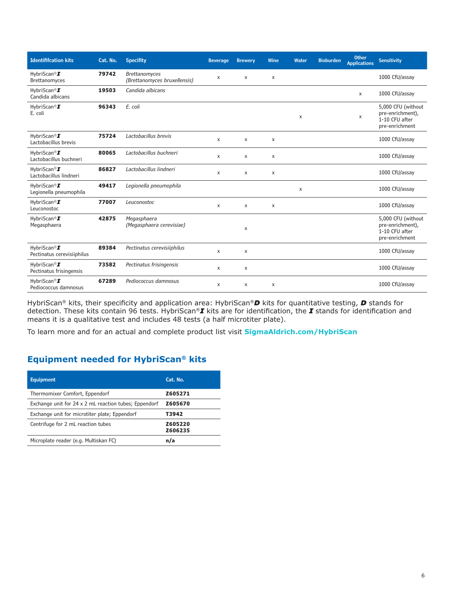| <b>Identififcation kits</b>                            | Cat. No. | <b>Specifity</b>                                     | <b>Beverage</b> | <b>Brewery</b> | Wine           | Water | <b>Bioburden</b> | <b>Other</b><br><b>Applications</b> | <b>Sensitivity</b>                                                         |
|--------------------------------------------------------|----------|------------------------------------------------------|-----------------|----------------|----------------|-------|------------------|-------------------------------------|----------------------------------------------------------------------------|
| HybriScan <sup>®</sup> I<br>Brettanomyces              | 79742    | <b>Brettanomyces</b><br>(Brettanomyces bruxellensis) | х               | X              | X              |       |                  |                                     | 1000 CfU/assay                                                             |
| HybriScan <sup>®</sup> I<br>Candida albicans           | 19503    | Candida albicans                                     |                 |                |                |       |                  | X                                   | 1000 CfU/assay                                                             |
| HybriScan <sup>®</sup> I<br>E. coli                    | 96343    | E. coli                                              |                 |                |                | X     |                  | X                                   | 5,000 CFU (without<br>pre-enrichment),<br>1-10 CFU after<br>pre-enrichment |
| HybriScan <sup>®</sup> I<br>Lactobacillus brevis       | 75724    | Lactobacillus brevis                                 | X               | X              | X              |       |                  |                                     | 1000 CfU/assay                                                             |
| HybriScan <sup>®</sup> I<br>Lactobacillus buchneri     | 80065    | Lactobacillus buchneri                               | X               | X              | X              |       |                  |                                     | 1000 CfU/assay                                                             |
| HybriScan <sup>®</sup> I<br>Lactobacillus lindneri     | 86827    | Lactobacillus lindneri                               | X               | X              | $\pmb{\times}$ |       |                  |                                     | 1000 CfU/assay                                                             |
| HybriScan <sup>®</sup> I<br>Legionella pneumophila     | 49417    | Legionella pneumophila                               |                 |                |                | X     |                  |                                     | 1000 CfU/assay                                                             |
| HybriScan <sup>®</sup> I<br>Leuconostoc                | 77007    | Leuconostoc                                          | X               | X              | X              |       |                  |                                     | 1000 CfU/assay                                                             |
| HybriScan <sup>®</sup> I<br>Megasphaera                | 42875    | Megasphaera<br>(Megasphaera cerevisiae)              |                 | X              |                |       |                  |                                     | 5,000 CFU (without<br>pre-enrichment),<br>1-10 CFU after<br>pre-enrichment |
| HybriScan <sup>®</sup> I<br>Pectinatus cerevisiiphilus | 89384    | Pectinatus cerevisiiphilus                           | X               | X              |                |       |                  |                                     | 1000 CfU/assay                                                             |
| HybriScan <sup>®</sup> I<br>Pectinatus frisingensis    | 73582    | Pectinatus frisingensis                              | X               | X              |                |       |                  |                                     | 1000 CfU/assay                                                             |
| HybriScan <sup>®</sup> I<br>Pediococcus damnosus       | 67289    | Pediococcus damnosus                                 | X               | X              | X              |       |                  |                                     | 1000 CfU/assay                                                             |

HybriScan® kits, their specificity and application area: HybriScan®*D* kits for quantitative testing, *D* stands for detection. These kits contain 96 tests. HybriScan®*I* kits are for identification, the *I* stands for identification and means it is a qualitative test and includes 48 tests (a half microtiter plate).

To learn more and for an actual and complete product list visit **SigmaAldrich.com/HybriScan**

#### **Equipment needed for HybriScan® kits**

| <b>Equipment</b>                                      | Cat. No.           |
|-------------------------------------------------------|--------------------|
| Thermomixer Comfort, Eppendorf                        | Z605271            |
| Exchange unit for 24 x 2 mL reaction tubes; Eppendorf | Z605670            |
| Exchange unit for microtiter plate; Eppendorf         | T3942              |
| Centrifuge for 2 mL reaction tubes                    | Z605220<br>Z606235 |
| Microplate reader (e.g. Multiskan FC)                 | n/a                |